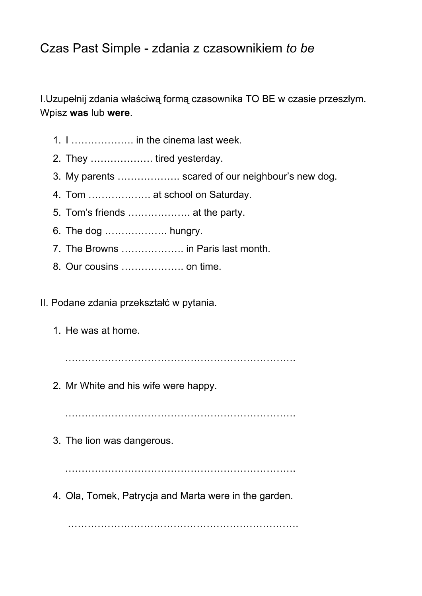## Czas Past Simple - zdania z czasownikiem *to be*

I.Uzupełnij zdania właściwą formą czasownika TO BE w czasie przeszłym. Wpisz **was**lub **were**.

- 1. I ………………. in the cinema last week.
- 2. They ………………. tired yesterday.
- 3. My parents ………………. scared of our neighbour's new dog.
- 4. Tom ………………. at school on Saturday.
- 5. Tom's friends ………………. at the party.
- 6. The dog ………………. hungry.
- 7. The Browns ………………. in Paris last month.
- 8. Our cousins ………………. on time.

II. Podane zdania przekształć w pytania.

1. He was at home.

…………………………………………………………….

2. Mr White and his wife were happy.

…………………………………………………………………

3. The lion was dangerous.

…………………………………………………………….

4. Ola, Tomek, Patrycja and Marta were in the garden.

…………………………………………………………….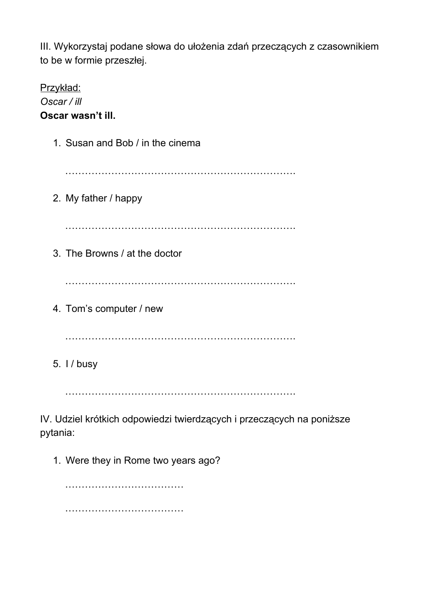III. Wykorzystaj podane słowa do ułożenia zdań przeczących z czasownikiem to be w formie przeszłej.

Przykład: *Oscar / ill* **Oscar wasn't ill.** 1. Susan and Bob / in the cinema ……………………………………………………………. 2. My father / happy ……………………………………………………………. 3. The Browns / at the doctor ……………………………………………………………. 4. Tom's computer / new ……………………………………………………………. 5. I / busy

…………………………………………………………….

IV. Udziel krótkich odpowiedzi twierdzących i przeczących na poniższe pytania:

1. Were they in Rome two years ago?

……………………………… ………………………………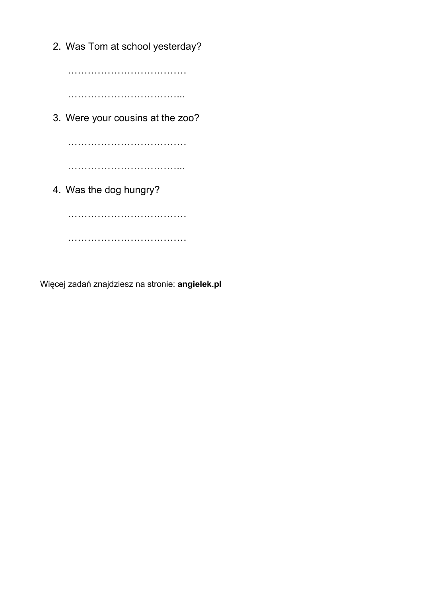2. Was Tom at school yesterday? ……………………………… ……………………………... 3. Were your cousins at the zoo? ……………………………… ……………………………………… 4. Was the dog hungry? ………………………………………… ………………………………

Więcej zadań znajdziesz na stronie: **angielek.pl**